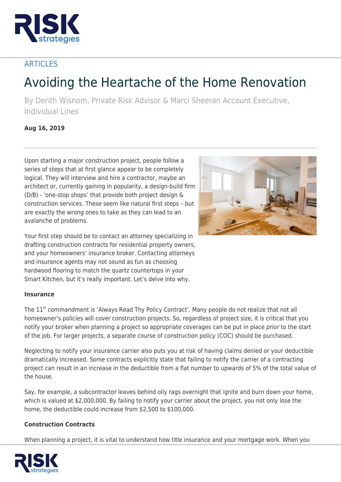

# **ARTICLES**

# Avoiding the Heartache of the Home Renovation

By Derith Wisnom, Private Risk Advisor & Marci Sheeran Account Executive, Individual Lines

## **Aug 16, 2019**

Upon starting a major construction project, people follow a series of steps that at first glance appear to be completely logical. They will interview and hire a contractor, maybe an architect or, currently gaining in popularity, a design-build firm (D/B) - 'one-stop shops' that provide both project design & construction services. These seem like natural first steps – but are exactly the wrong ones to take as they can lead to an avalanche of problems.



Your first step should be to contact an attorney specializing in drafting construction contracts for residential property owners, and your homeowners' insurance broker. Contacting attorneys and insurance agents may not sound as fun as choosing hardwood flooring to match the quartz countertops in your Smart Kitchen, but it's really important. Let's delve into why.

### **Insurance**

The 11<sup>th</sup> commandment is 'Always Read Thy Policy Contract'. Many people do not realize that not all homeowner's policies will cover construction projects. So, regardless of project size, it is critical that you notify your broker when planning a project so appropriate coverages can be put in place prior to the start of the job. For larger projects, a separate course of construction policy (COC) should be purchased.

Neglecting to notify your insurance carrier also puts you at risk of having claims denied or your deductible dramatically increased. Some contracts explicitly state that failing to notify the carrier of a contracting project can result in an increase in the deductible from a flat number to upwards of 5% of the total value of the house.

Say, for example, a subcontractor leaves behind oily rags overnight that ignite and burn down your home, which is valued at \$2,000,000. By failing to notify your carrier about the project, you not only lose the home, the deductible could increase from \$2,500 to \$100,000.

### **Construction Contracts**

When planning a project, it is vital to understand how title insurance and your mortgage work. When you